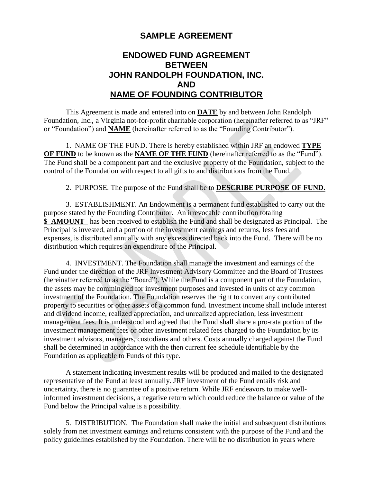## **SAMPLE AGREEMENT**

## **ENDOWED FUND AGREEMENT BETWEEN JOHN RANDOLPH FOUNDATION, INC. AND NAME OF FOUNDING CONTRIBUTOR**

This Agreement is made and entered into on **DATE** by and between John Randolph Foundation, Inc., a Virginia not-for-profit charitable corporation (hereinafter referred to as "JRF" or "Foundation") and **NAME** (hereinafter referred to as the "Founding Contributor").

1. NAME OF THE FUND. There is hereby established within JRF an endowed **TYPE OF FUND** to be known as the **NAME OF THE FUND** (hereinafter referred to as the "Fund"). The Fund shall be a component part and the exclusive property of the Foundation, subject to the control of the Foundation with respect to all gifts to and distributions from the Fund.

2. PURPOSE. The purpose of the Fund shall be to **DESCRIBE PURPOSE OF FUND.**

3. ESTABLISHMENT. An Endowment is a permanent fund established to carry out the purpose stated by the Founding Contributor. An irrevocable contribution totaling **\$ AMOUNT** has been received to establish the Fund and shall be designated as Principal. The Principal is invested, and a portion of the investment earnings and returns, less fees and expenses, is distributed annually with any excess directed back into the Fund. There will be no distribution which requires an expenditure of the Principal.

4. INVESTMENT. The Foundation shall manage the investment and earnings of the Fund under the direction of the JRF Investment Advisory Committee and the Board of Trustees (hereinafter referred to as the "Board"). While the Fund is a component part of the Foundation, the assets may be commingled for investment purposes and invested in units of any common investment of the Foundation. The Foundation reserves the right to convert any contributed property to securities or other assets of a common fund. Investment income shall include interest and dividend income, realized appreciation, and unrealized appreciation, less investment management fees. It is understood and agreed that the Fund shall share a pro-rata portion of the investment management fees or other investment related fees charged to the Foundation by its investment advisors, managers, custodians and others. Costs annually charged against the Fund shall be determined in accordance with the then current fee schedule identifiable by the Foundation as applicable to Funds of this type.

A statement indicating investment results will be produced and mailed to the designated representative of the Fund at least annually. JRF investment of the Fund entails risk and uncertainty, there is no guarantee of a positive return. While JRF endeavors to make wellinformed investment decisions, a negative return which could reduce the balance or value of the Fund below the Principal value is a possibility.

5. DISTRIBUTION. The Foundation shall make the initial and subsequent distributions solely from net investment earnings and returns consistent with the purpose of the Fund and the policy guidelines established by the Foundation. There will be no distribution in years where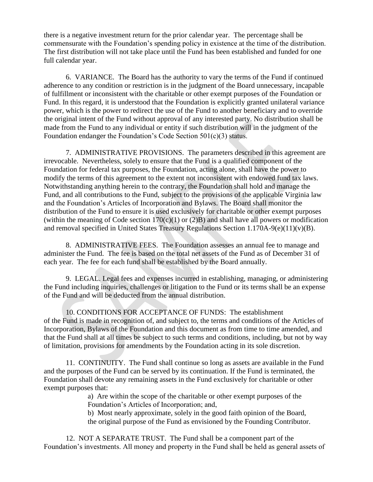there is a negative investment return for the prior calendar year. The percentage shall be commensurate with the Foundation's spending policy in existence at the time of the distribution. The first distribution will not take place until the Fund has been established and funded for one full calendar year.

6. VARIANCE. The Board has the authority to vary the terms of the Fund if continued adherence to any condition or restriction is in the judgment of the Board unnecessary, incapable of fulfillment or inconsistent with the charitable or other exempt purposes of the Foundation or Fund. In this regard, it is understood that the Foundation is explicitly granted unilateral variance power, which is the power to redirect the use of the Fund to another beneficiary and to override the original intent of the Fund without approval of any interested party. No distribution shall be made from the Fund to any individual or entity if such distribution will in the judgment of the Foundation endanger the Foundation's Code Section 501(c)(3) status.

7. ADMINISTRATIVE PROVISIONS. The parameters described in this agreement are irrevocable. Nevertheless, solely to ensure that the Fund is a qualified component of the Foundation for federal tax purposes, the Foundation, acting alone, shall have the power to modify the terms of this agreement to the extent not inconsistent with endowed fund tax laws. Notwithstanding anything herein to the contrary, the Foundation shall hold and manage the Fund, and all contributions to the Fund, subject to the provisions of the applicable Virginia law and the Foundation's Articles of Incorporation and Bylaws. The Board shall monitor the distribution of the Fund to ensure it is used exclusively for charitable or other exempt purposes (within the meaning of Code section 170(c)(1) or (2)B) and shall have all powers or modification and removal specified in United States Treasury Regulations Section 1.170A-9(e)(11)(v)(B).

8. ADMINISTRATIVE FEES. The Foundation assesses an annual fee to manage and administer the Fund. The fee is based on the total net assets of the Fund as of December 31 of each year. The fee for each fund shall be established by the Board annually.

9. LEGAL. Legal fees and expenses incurred in establishing, managing, or administering the Fund including inquiries, challenges or litigation to the Fund or its terms shall be an expense of the Fund and will be deducted from the annual distribution.

10. CONDITIONS FOR ACCEPTANCE OF FUNDS: The establishment of the Fund is made in recognition of, and subject to, the terms and conditions of the Articles of Incorporation, Bylaws of the Foundation and this document as from time to time amended, and that the Fund shall at all times be subject to such terms and conditions, including, but not by way of limitation, provisions for amendments by the Foundation acting in its sole discretion.

11. CONTINUITY. The Fund shall continue so long as assets are available in the Fund and the purposes of the Fund can be served by its continuation. If the Fund is terminated, the Foundation shall devote any remaining assets in the Fund exclusively for charitable or other exempt purposes that:

a) Are within the scope of the charitable or other exempt purposes of the Foundation's Articles of Incorporation; and,

b) Most nearly approximate, solely in the good faith opinion of the Board, the original purpose of the Fund as envisioned by the Founding Contributor.

12. NOT A SEPARATE TRUST. The Fund shall be a component part of the Foundation's investments. All money and property in the Fund shall be held as general assets of